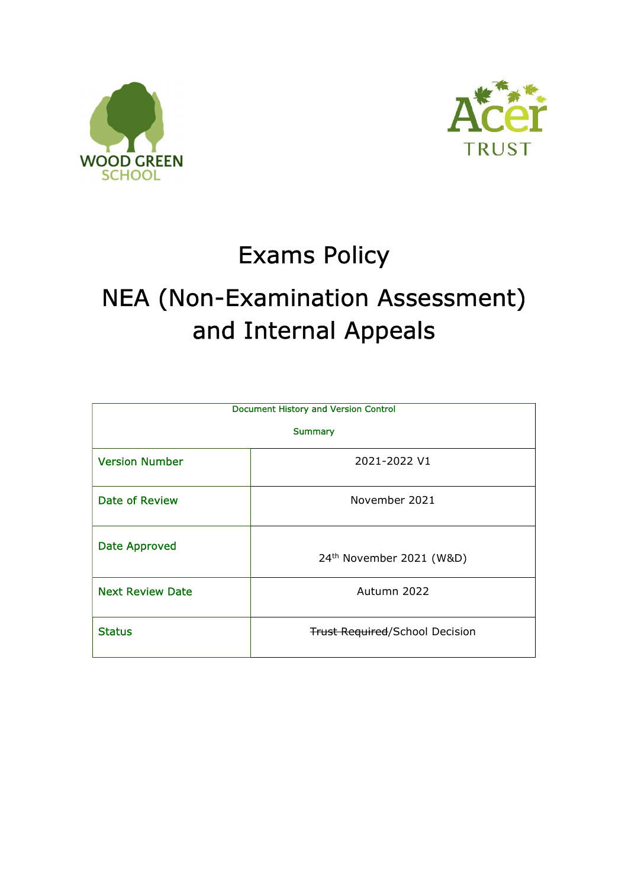



# Exams Policy

# NEA (Non-Examination Assessment) and Internal Appeals

| <b>Document History and Version Control</b> |                                       |  |  |  |
|---------------------------------------------|---------------------------------------|--|--|--|
| <b>Summary</b>                              |                                       |  |  |  |
| <b>Version Number</b>                       | 2021-2022 V1                          |  |  |  |
| <b>Date of Review</b>                       | November 2021                         |  |  |  |
| <b>Date Approved</b>                        | 24 <sup>th</sup> November 2021 (W&D)  |  |  |  |
| <b>Next Review Date</b>                     | Autumn 2022                           |  |  |  |
| <b>Status</b>                               | <b>Trust Required/School Decision</b> |  |  |  |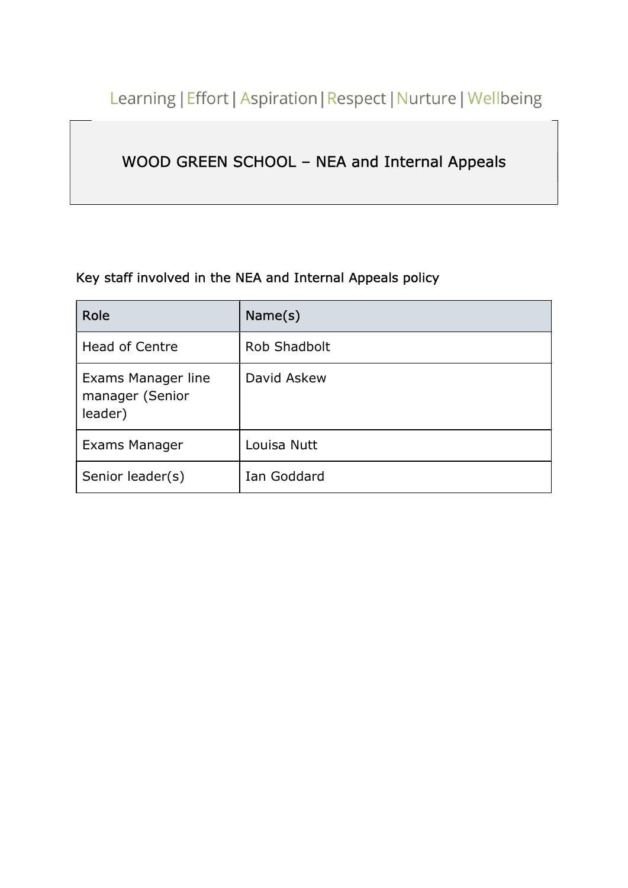Learning | Effort | Aspiration | Respect | Nurture | Wellbeing

# WOOD GREEN SCHOOL – NEA and Internal Appeals

# Key staff involved in the NEA and Internal Appeals policy

| Role                                             | Name(s)      |
|--------------------------------------------------|--------------|
| <b>Head of Centre</b>                            | Rob Shadbolt |
| Exams Manager line<br>manager (Senior<br>leader) | David Askew  |
| Exams Manager                                    | Louisa Nutt  |
| Senior leader(s)                                 | Ian Goddard  |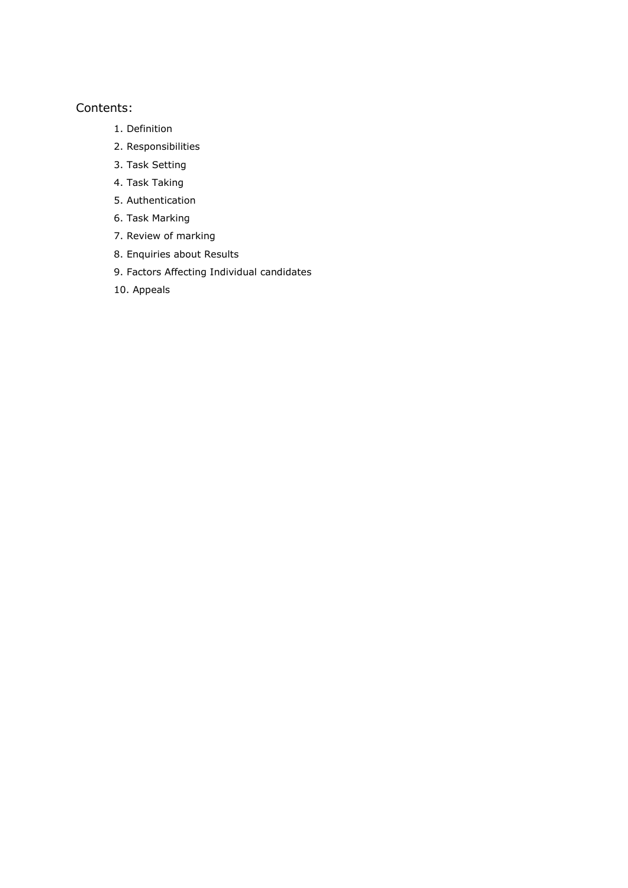## Contents:

- 1. Definition
- 2. Responsibilities
- 3. Task Setting
- 4. Task Taking
- 5. Authentication
- 6. Task Marking
- 7. Review of marking
- 8. Enquiries about Results
- 9. Factors Affecting Individual candidates
- 10. Appeals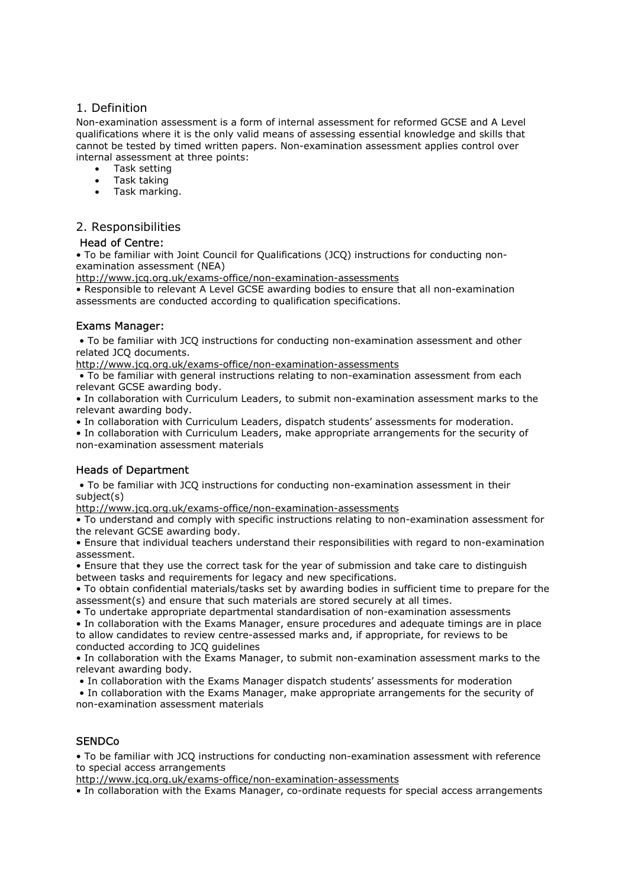#### 1. Definition

Non-examination assessment is a form of internal assessment for reformed GCSE and A Level qualifications where it is the only valid means of assessing essential knowledge and skills that cannot be tested by timed written papers. Non-examination assessment applies control over internal assessment at three points:

- Task setting
- Task taking
- Task marking.

### 2. Responsibilities

#### Head of Centre:

• To be familiar with Joint Council for Qualifications (JCQ) instructions for conducting nonexamination assessment (NEA)

http://www.jcq.org.uk/exams-office/non-examination-assessments

• Responsible to relevant A Level GCSE awarding bodies to ensure that all non-examination assessments are conducted according to qualification specifications.

#### Exams Manager:

 • To be familiar with JCQ instructions for conducting non-examination assessment and other related JCQ documents.

http://www.jcq.org.uk/exams-office/non-examination-assessments

 • To be familiar with general instructions relating to non-examination assessment from each relevant GCSE awarding body.

• In collaboration with Curriculum Leaders, to submit non-examination assessment marks to the relevant awarding body.

• In collaboration with Curriculum Leaders, dispatch students' assessments for moderation.

• In collaboration with Curriculum Leaders, make appropriate arrangements for the security of non-examination assessment materials

### Heads of Department

 • To be familiar with JCQ instructions for conducting non-examination assessment in their subject(s)

http://www.jcq.org.uk/exams-office/non-examination-assessments

• To understand and comply with specific instructions relating to non-examination assessment for the relevant GCSE awarding body.

• Ensure that individual teachers understand their responsibilities with regard to non-examination assessment.

• Ensure that they use the correct task for the year of submission and take care to distinguish between tasks and requirements for legacy and new specifications.

• To obtain confidential materials/tasks set by awarding bodies in sufficient time to prepare for the assessment(s) and ensure that such materials are stored securely at all times.

• To undertake appropriate departmental standardisation of non-examination assessments

• In collaboration with the Exams Manager, ensure procedures and adequate timings are in place to allow candidates to review centre-assessed marks and, if appropriate, for reviews to be conducted according to JCQ guidelines

• In collaboration with the Exams Manager, to submit non-examination assessment marks to the relevant awarding body.

• In collaboration with the Exams Manager dispatch students' assessments for moderation

 • In collaboration with the Exams Manager, make appropriate arrangements for the security of non-examination assessment materials

## **SENDCo**

• To be familiar with JCQ instructions for conducting non-examination assessment with reference to special access arrangements

http://www.jcq.org.uk/exams-office/non-examination-assessments

• In collaboration with the Exams Manager, co-ordinate requests for special access arrangements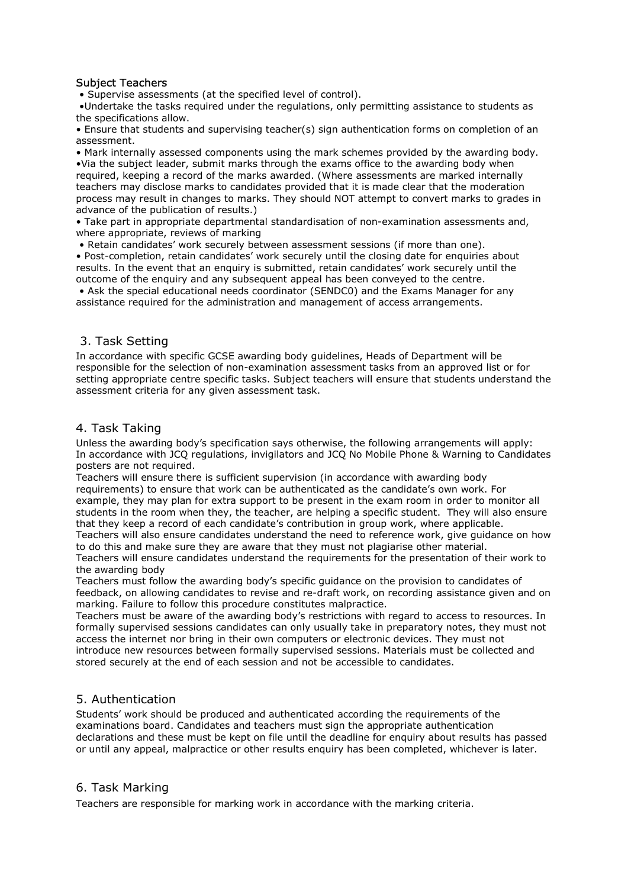#### Subject Teachers

• Supervise assessments (at the specified level of control).

 •Undertake the tasks required under the regulations, only permitting assistance to students as the specifications allow.

• Ensure that students and supervising teacher(s) sign authentication forms on completion of an assessment.

• Mark internally assessed components using the mark schemes provided by the awarding body. •Via the subject leader, submit marks through the exams office to the awarding body when required, keeping a record of the marks awarded. (Where assessments are marked internally teachers may disclose marks to candidates provided that it is made clear that the moderation process may result in changes to marks. They should NOT attempt to convert marks to grades in advance of the publication of results.)

• Take part in appropriate departmental standardisation of non-examination assessments and, where appropriate, reviews of marking

• Retain candidates' work securely between assessment sessions (if more than one).

• Post-completion, retain candidates' work securely until the closing date for enquiries about results. In the event that an enquiry is submitted, retain candidates' work securely until the outcome of the enquiry and any subsequent appeal has been conveyed to the centre.

 • Ask the special educational needs coordinator (SENDC0) and the Exams Manager for any assistance required for the administration and management of access arrangements.

### 3. Task Setting

In accordance with specific GCSE awarding body guidelines, Heads of Department will be responsible for the selection of non-examination assessment tasks from an approved list or for setting appropriate centre specific tasks. Subject teachers will ensure that students understand the assessment criteria for any given assessment task.

#### 4. Task Taking

Unless the awarding body's specification says otherwise, the following arrangements will apply: In accordance with JCQ regulations, invigilators and JCQ No Mobile Phone & Warning to Candidates posters are not required.

Teachers will ensure there is sufficient supervision (in accordance with awarding body requirements) to ensure that work can be authenticated as the candidate's own work. For example, they may plan for extra support to be present in the exam room in order to monitor all students in the room when they, the teacher, are helping a specific student. They will also ensure that they keep a record of each candidate's contribution in group work, where applicable.

Teachers will also ensure candidates understand the need to reference work, give guidance on how to do this and make sure they are aware that they must not plagiarise other material.

Teachers will ensure candidates understand the requirements for the presentation of their work to the awarding body

Teachers must follow the awarding body's specific guidance on the provision to candidates of feedback, on allowing candidates to revise and re-draft work, on recording assistance given and on marking. Failure to follow this procedure constitutes malpractice.

Teachers must be aware of the awarding body's restrictions with regard to access to resources. In formally supervised sessions candidates can only usually take in preparatory notes, they must not access the internet nor bring in their own computers or electronic devices. They must not introduce new resources between formally supervised sessions. Materials must be collected and stored securely at the end of each session and not be accessible to candidates.

### 5. Authentication

Students' work should be produced and authenticated according the requirements of the examinations board. Candidates and teachers must sign the appropriate authentication declarations and these must be kept on file until the deadline for enquiry about results has passed or until any appeal, malpractice or other results enquiry has been completed, whichever is later.

### 6. Task Marking

Teachers are responsible for marking work in accordance with the marking criteria.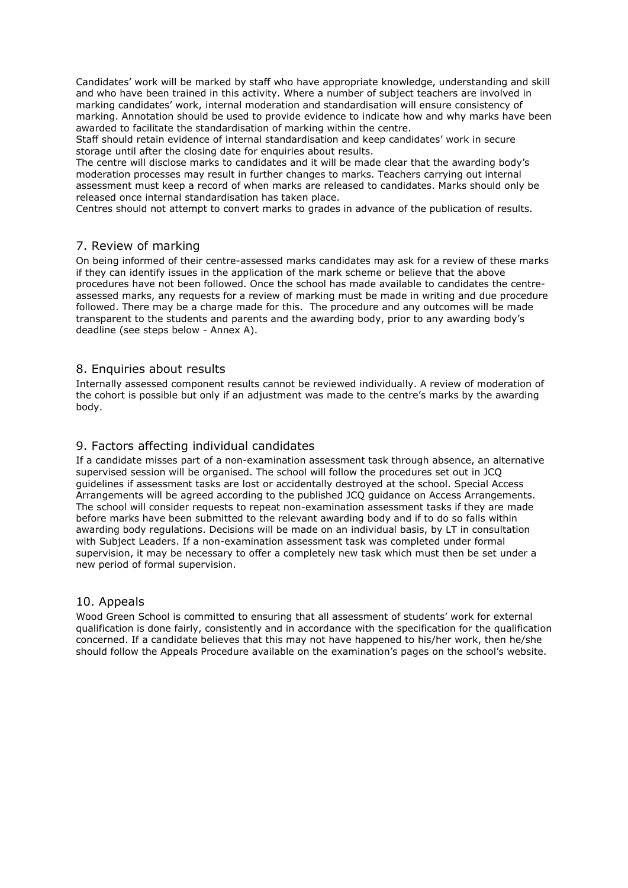Candidates' work will be marked by staff who have appropriate knowledge, understanding and skill and who have been trained in this activity. Where a number of subject teachers are involved in marking candidates' work, internal moderation and standardisation will ensure consistency of marking. Annotation should be used to provide evidence to indicate how and why marks have been awarded to facilitate the standardisation of marking within the centre.

Staff should retain evidence of internal standardisation and keep candidates' work in secure storage until after the closing date for enquiries about results.

The centre will disclose marks to candidates and it will be made clear that the awarding body's moderation processes may result in further changes to marks. Teachers carrying out internal assessment must keep a record of when marks are released to candidates. Marks should only be released once internal standardisation has taken place.

Centres should not attempt to convert marks to grades in advance of the publication of results.

#### 7. Review of marking

On being informed of their centre-assessed marks candidates may ask for a review of these marks if they can identify issues in the application of the mark scheme or believe that the above procedures have not been followed. Once the school has made available to candidates the centreassessed marks, any requests for a review of marking must be made in writing and due procedure followed. There may be a charge made for this. The procedure and any outcomes will be made transparent to the students and parents and the awarding body, prior to any awarding body's deadline (see steps below - Annex A).

#### 8. Enquiries about results

Internally assessed component results cannot be reviewed individually. A review of moderation of the cohort is possible but only if an adjustment was made to the centre's marks by the awarding body.

#### 9. Factors affecting individual candidates

If a candidate misses part of a non-examination assessment task through absence, an alternative supervised session will be organised. The school will follow the procedures set out in JCQ guidelines if assessment tasks are lost or accidentally destroyed at the school. Special Access Arrangements will be agreed according to the published JCQ guidance on Access Arrangements. The school will consider requests to repeat non-examination assessment tasks if they are made before marks have been submitted to the relevant awarding body and if to do so falls within awarding body regulations. Decisions will be made on an individual basis, by LT in consultation with Subject Leaders. If a non-examination assessment task was completed under formal supervision, it may be necessary to offer a completely new task which must then be set under a new period of formal supervision.

#### 10. Appeals

Wood Green School is committed to ensuring that all assessment of students' work for external qualification is done fairly, consistently and in accordance with the specification for the qualification concerned. If a candidate believes that this may not have happened to his/her work, then he/she should follow the Appeals Procedure available on the examination's pages on the school's website.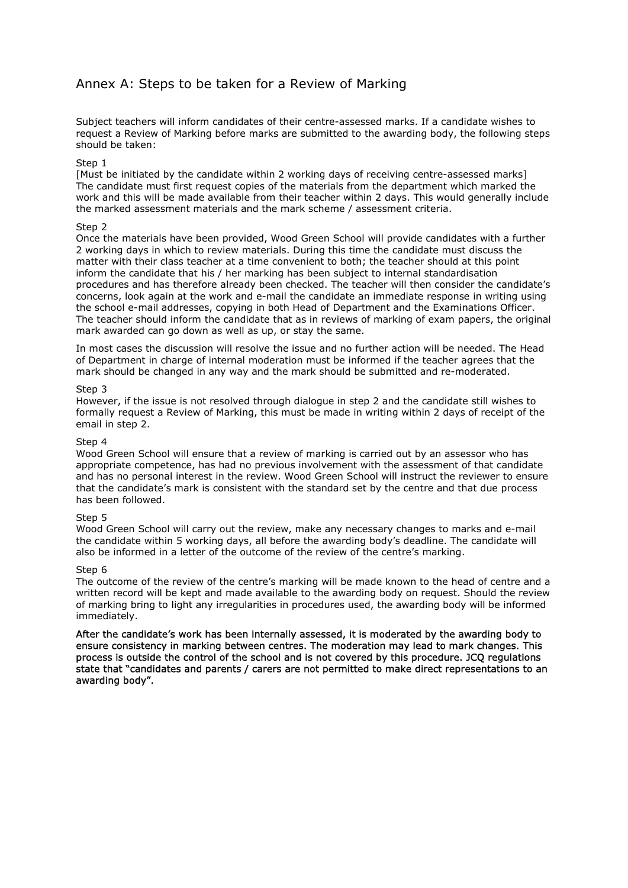# Annex A: Steps to be taken for a Review of Marking

Subject teachers will inform candidates of their centre-assessed marks. If a candidate wishes to request a Review of Marking before marks are submitted to the awarding body, the following steps should be taken:

#### Step 1

[Must be initiated by the candidate within 2 working days of receiving centre-assessed marks] The candidate must first request copies of the materials from the department which marked the work and this will be made available from their teacher within 2 days. This would generally include the marked assessment materials and the mark scheme / assessment criteria.

#### Step 2

Once the materials have been provided, Wood Green School will provide candidates with a further 2 working days in which to review materials. During this time the candidate must discuss the matter with their class teacher at a time convenient to both; the teacher should at this point inform the candidate that his / her marking has been subject to internal standardisation procedures and has therefore already been checked. The teacher will then consider the candidate's concerns, look again at the work and e-mail the candidate an immediate response in writing using the school e-mail addresses, copying in both Head of Department and the Examinations Officer. The teacher should inform the candidate that as in reviews of marking of exam papers, the original mark awarded can go down as well as up, or stay the same.

In most cases the discussion will resolve the issue and no further action will be needed. The Head of Department in charge of internal moderation must be informed if the teacher agrees that the mark should be changed in any way and the mark should be submitted and re-moderated.

#### Step 3

However, if the issue is not resolved through dialogue in step 2 and the candidate still wishes to formally request a Review of Marking, this must be made in writing within 2 days of receipt of the email in step 2.

#### Step 4

Wood Green School will ensure that a review of marking is carried out by an assessor who has appropriate competence, has had no previous involvement with the assessment of that candidate and has no personal interest in the review. Wood Green School will instruct the reviewer to ensure that the candidate's mark is consistent with the standard set by the centre and that due process has been followed.

#### Step 5

Wood Green School will carry out the review, make any necessary changes to marks and e-mail the candidate within 5 working days, all before the awarding body's deadline. The candidate will also be informed in a letter of the outcome of the review of the centre's marking.

#### Step 6

The outcome of the review of the centre's marking will be made known to the head of centre and a written record will be kept and made available to the awarding body on request. Should the review of marking bring to light any irregularities in procedures used, the awarding body will be informed immediately.

After the candidate's work has been internally assessed, it is moderated by the awarding body to ensure consistency in marking between centres. The moderation may lead to mark changes. This process is outside the control of the school and is not covered by this procedure. JCQ regulations state that "candidates and parents / carers are not permitted to make direct representations to an awarding body".